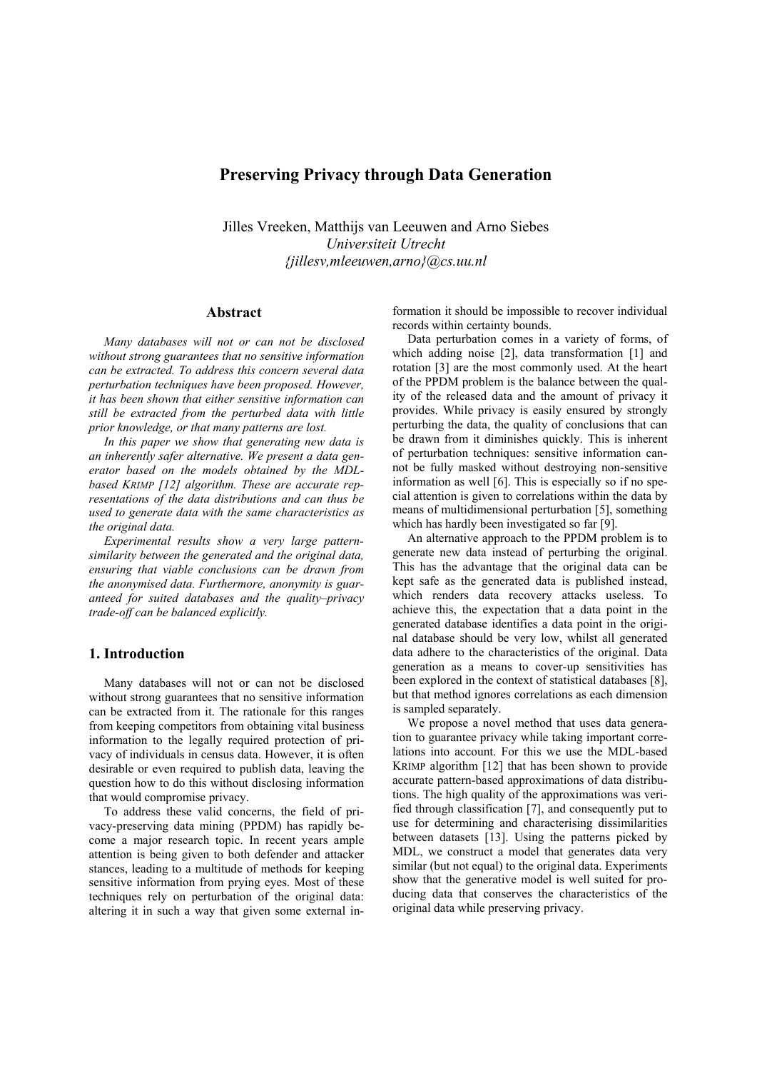# **Preserving Privacy through Data Generation**

Jilles Vreeken, Matthijs van Leeuwen and Arno Siebes *Universiteit Utrecht {jillesv,mleeuwen,arno}@cs.uu.nl* 

## **Abstract**

*Many databases will not or can not be disclosed without strong guarantees that no sensitive information can be extracted. To address this concern several data perturbation techniques have been proposed. However, it has been shown that either sensitive information can still be extracted from the perturbed data with little prior knowledge, or that many patterns are lost.* 

*In this paper we show that generating new data is an inherently safer alternative. We present a data generator based on the models obtained by the MDLbased KRIMP [12] algorithm. These are accurate representations of the data distributions and can thus be used to generate data with the same characteristics as the original data.* 

*Experimental results show a very large patternsimilarity between the generated and the original data, ensuring that viable conclusions can be drawn from the anonymised data. Furthermore, anonymity is guaranteed for suited databases and the quality–privacy trade-off can be balanced explicitly.* 

## **1. Introduction**

Many databases will not or can not be disclosed without strong guarantees that no sensitive information can be extracted from it. The rationale for this ranges from keeping competitors from obtaining vital business information to the legally required protection of privacy of individuals in census data. However, it is often desirable or even required to publish data, leaving the question how to do this without disclosing information that would compromise privacy.

To address these valid concerns, the field of privacy-preserving data mining (PPDM) has rapidly become a major research topic. In recent years ample attention is being given to both defender and attacker stances, leading to a multitude of methods for keeping sensitive information from prying eyes. Most of these techniques rely on perturbation of the original data: altering it in such a way that given some external information it should be impossible to recover individual records within certainty bounds.

Data perturbation comes in a variety of forms, of which adding noise [2], data transformation [1] and rotation [3] are the most commonly used. At the heart of the PPDM problem is the balance between the quality of the released data and the amount of privacy it provides. While privacy is easily ensured by strongly perturbing the data, the quality of conclusions that can be drawn from it diminishes quickly. This is inherent of perturbation techniques: sensitive information cannot be fully masked without destroying non-sensitive information as well [6]. This is especially so if no special attention is given to correlations within the data by means of multidimensional perturbation [5], something which has hardly been investigated so far [9].

An alternative approach to the PPDM problem is to generate new data instead of perturbing the original. This has the advantage that the original data can be kept safe as the generated data is published instead, which renders data recovery attacks useless. To achieve this, the expectation that a data point in the generated database identifies a data point in the original database should be very low, whilst all generated data adhere to the characteristics of the original. Data generation as a means to cover-up sensitivities has been explored in the context of statistical databases [8], but that method ignores correlations as each dimension is sampled separately.

We propose a novel method that uses data generation to guarantee privacy while taking important correlations into account. For this we use the MDL-based KRIMP algorithm [12] that has been shown to provide accurate pattern-based approximations of data distributions. The high quality of the approximations was verified through classification [7], and consequently put to use for determining and characterising dissimilarities between datasets [13]. Using the patterns picked by MDL, we construct a model that generates data very similar (but not equal) to the original data. Experiments show that the generative model is well suited for producing data that conserves the characteristics of the original data while preserving privacy.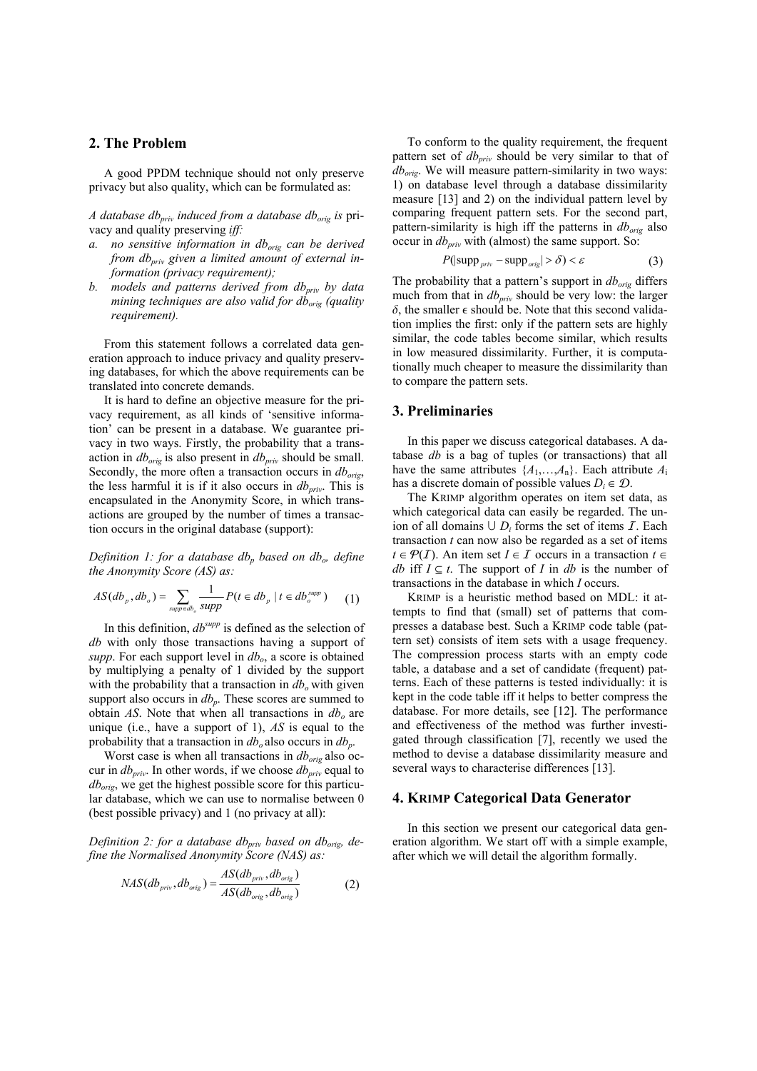## **2. The Problem**

A good PPDM technique should not only preserve privacy but also quality, which can be formulated as:

*A database dbpriv induced from a database dborig is* privacy and quality preserving *iff:* 

- *a. no sensitive information in db<sub>orig</sub> can be derived from dbpriv given a limited amount of external information (privacy requirement);*
- *b.* models and patterns derived from db<sub>priv</sub> by data *mining techniques are also valid for db<sub>orig</sub> (quality requirement).*

From this statement follows a correlated data generation approach to induce privacy and quality preserving databases, for which the above requirements can be translated into concrete demands.

It is hard to define an objective measure for the privacy requirement, as all kinds of 'sensitive information' can be present in a database. We guarantee privacy in two ways. Firstly, the probability that a transaction in  $db_{orig}$  is also present in  $db_{priv}$  should be small. Secondly, the more often a transaction occurs in  $db_{orig}$ , the less harmful it is if it also occurs in  $db_{priv}$ . This is encapsulated in the Anonymity Score, in which transactions are grouped by the number of times a transaction occurs in the original database (support):

*Definition 1: for a database db<sub>p</sub> based on db<sub>o</sub>, define the Anonymity Score (AS) as:* 

$$
AS(db_p, db_o) = \sum_{\text{supp} \in db_o} \frac{1}{\text{supp}} P(t \in db_p \mid t \in db_o^{\text{supp}})
$$
 (1)

In this definition, *dbsupp* is defined as the selection of *db* with only those transactions having a support of  $supp$ . For each support level in  $db<sub>o</sub>$ , a score is obtained by multiplying a penalty of 1 divided by the support with the probability that a transaction in  $db<sub>o</sub>$  with given support also occurs in  $db_p$ . These scores are summed to obtain  $AS$ . Note that when all transactions in  $db<sub>o</sub>$  are unique (i.e., have a support of 1), *AS* is equal to the probability that a transaction in  $db<sub>o</sub>$  also occurs in  $db<sub>p</sub>$ .

Worst case is when all transactions in  $db_{orig}$  also occur in  $db_{priv}$ . In other words, if we choose  $db_{priv}$  equal to *dborig*, we get the highest possible score for this particular database, which we can use to normalise between 0 (best possible privacy) and 1 (no privacy at all):

*Definition 2: for a database db<sub>priv</sub> based on db<sub>orig</sub>, define the Normalised Anonymity Score (NAS) as:* 

$$
NAS(db_{priv}, db_{orig}) = \frac{AS(db_{priv}, db_{orig})}{AS(db_{orig}, db_{orig})}
$$
 (2)

To conform to the quality requirement, the frequent pattern set of  $db_{priv}$  should be very similar to that of *dborig*. We will measure pattern-similarity in two ways: 1) on database level through a database dissimilarity measure [13] and 2) on the individual pattern level by comparing frequent pattern sets. For the second part, pattern-similarity is high iff the patterns in  $db_{\text{orig}}$  also occur in  $db_{priv}$  with (almost) the same support. So:

$$
P(|\text{supp}_{priv} - \text{supp}_{orig}| > \delta) < \varepsilon
$$
 (3)

The probability that a pattern's support in  $db_{\text{orig}}$  differs much from that in  $db_{priv}$  should be very low: the larger  $\delta$ , the smaller  $\epsilon$  should be. Note that this second validation implies the first: only if the pattern sets are highly similar, the code tables become similar, which results in low measured dissimilarity. Further, it is computationally much cheaper to measure the dissimilarity than to compare the pattern sets.

## **3. Preliminaries**

In this paper we discuss categorical databases. A database *db* is a bag of tuples (or transactions) that all have the same attributes  $\{A_1, \ldots, A_n\}$ . Each attribute  $A_i$ has a discrete domain of possible values  $D_i \in \mathcal{D}$ .

The KRIMP algorithm operates on item set data, as which categorical data can easily be regarded. The union of all domains  $\cup D_i$  forms the set of items  $\mathcal I$ . Each transaction *t* can now also be regarded as a set of items *t* ∈  $P(I)$ . An item set *I* ∈ *I* occurs in a transaction *t* ∈ *db* iff  $I \subseteq t$ . The support of *I* in *db* is the number of transactions in the database in which *I* occurs.

KRIMP is a heuristic method based on MDL: it attempts to find that (small) set of patterns that compresses a database best. Such a KRIMP code table (pattern set) consists of item sets with a usage frequency. The compression process starts with an empty code table, a database and a set of candidate (frequent) patterns. Each of these patterns is tested individually: it is kept in the code table iff it helps to better compress the database. For more details, see [12]. The performance and effectiveness of the method was further investigated through classification [7], recently we used the method to devise a database dissimilarity measure and several ways to characterise differences [13].

#### **4. KRIMP Categorical Data Generator**

In this section we present our categorical data generation algorithm. We start off with a simple example, after which we will detail the algorithm formally.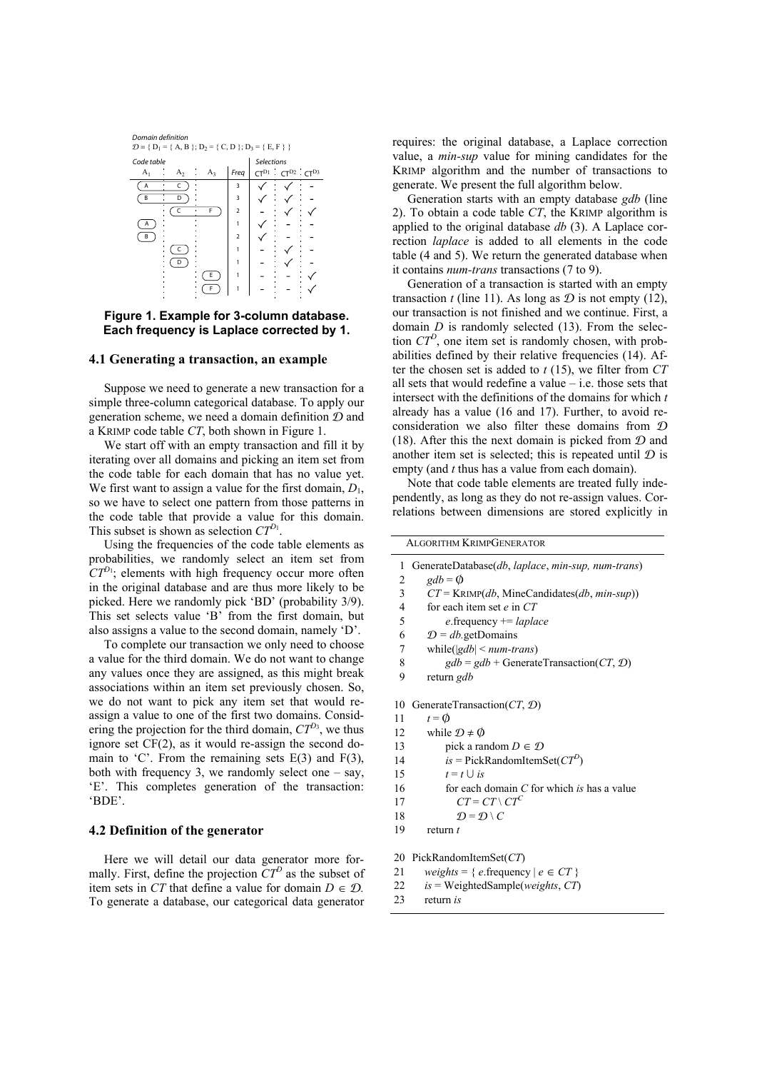

### **Figure 1. Example for 3-column database. Each frequency is Laplace corrected by 1.**

#### **4.1 Generating a transaction, an example**

Suppose we need to generate a new transaction for a simple three-column categorical database. To apply our generation scheme, we need a domain definition  $D$  and a KRIMP code table *CT*, both shown in Figure 1.

We start off with an empty transaction and fill it by iterating over all domains and picking an item set from the code table for each domain that has no value yet. We first want to assign a value for the first domain,  $D_1$ , so we have to select one pattern from those patterns in the code table that provide a value for this domain. This subset is shown as selection  $CT^{D_1}$ .

Using the frequencies of the code table elements as probabilities, we randomly select an item set from  $CT^{D_1}$ ; elements with high frequency occur more often in the original database and are thus more likely to be picked. Here we randomly pick 'BD' (probability 3/9). This set selects value 'B' from the first domain, but also assigns a value to the second domain, namely 'D'.

To complete our transaction we only need to choose a value for the third domain. We do not want to change any values once they are assigned, as this might break associations within an item set previously chosen. So, we do not want to pick any item set that would reassign a value to one of the first two domains. Considering the projection for the third domain,  $CT^{D_3}$ , we thus ignore set CF(2), as it would re-assign the second domain to 'C'. From the remaining sets  $E(3)$  and  $F(3)$ , both with frequency 3, we randomly select one  $-$  say, 'E'. This completes generation of the transaction: 'BDE'.

### **4.2 Definition of the generator**

Here we will detail our data generator more formally. First, define the projection *CT<sup>D</sup>* as the subset of item sets in *CT* that define a value for domain  $D \in \mathcal{D}$ . To generate a database, our categorical data generator

requires: the original database, a Laplace correction value, a *min-sup* value for mining candidates for the KRIMP algorithm and the number of transactions to generate. We present the full algorithm below.

Generation starts with an empty database *gdb* (line 2). To obtain a code table *CT*, the KRIMP algorithm is applied to the original database *db* (3). A Laplace correction *laplace* is added to all elements in the code table (4 and 5). We return the generated database when it contains *num-trans* transactions (7 to 9).

Generation of a transaction is started with an empty transaction *t* (line 11). As long as  $D$  is not empty (12), our transaction is not finished and we continue. First, a domain *D* is randomly selected (13). From the selection *CTD*, one item set is randomly chosen, with probabilities defined by their relative frequencies (14). After the chosen set is added to *t* (15), we filter from *CT* all sets that would redefine a value – i.e. those sets that intersect with the definitions of the domains for which *t* already has a value (16 and 17). Further, to avoid reconsideration we also filter these domains from D (18). After this the next domain is picked from  $D$  and another item set is selected; this is repeated until  $D$  is empty (and *t* thus has a value from each domain).

Note that code table elements are treated fully independently, as long as they do not re-assign values. Correlations between dimensions are stored explicitly in

ALGORITHM KRIMPGENERATOR 1  $\overline{2}$ 3 4 5 6 7 8 9 10 GenerateTransaction(*CT*, D) 11 12 13 14 15 16 17 18 19 20 PickRandomItemSet(*CT*) 21 22 23 GenerateDatabase(*db*, *laplace*, *min-sup, num-trans*)  $gdb = \phi$ *CT* = KRIMP(*db*, MineCandidates(*db*, *min-sup*)) for each item set *e* in *CT e*.frequency += *laplace*   $D = db$ .getDomains while(|*gdb*| < *num-trans*)  $gdb = gdb + \text{GenerateTransaction}(CT, \mathcal{D})$ return *gdb*   $t = \emptyset$ while  $\mathcal{D} \neq \emptyset$ pick a random  $D \in \mathcal{D}$  $is$  = PickRandomItemSet( $CT^{D}$ )  $t = t \cup is$ for each domain *C* for which *is* has a value  $CT = CT \setminus CT^C$  $\mathcal{D} = \mathcal{D} \setminus C$ return *t*   $weights = \{ e$ .frequency  $| e \in CT \}$ *is* = WeightedSample(*weights*, *CT*) return *is*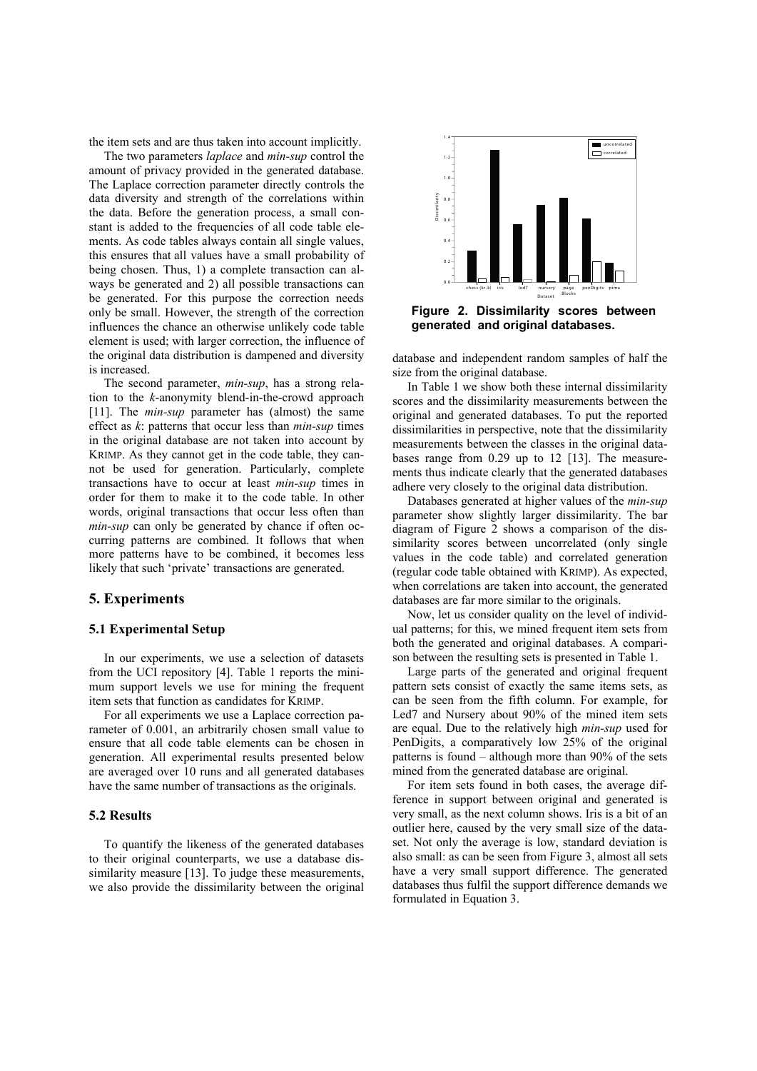the item sets and are thus taken into account implicitly.

The two parameters *laplace* and *min-sup* control the amount of privacy provided in the generated database. The Laplace correction parameter directly controls the data diversity and strength of the correlations within the data. Before the generation process, a small constant is added to the frequencies of all code table elements. As code tables always contain all single values, this ensures that all values have a small probability of being chosen. Thus, 1) a complete transaction can always be generated and 2) all possible transactions can be generated. For this purpose the correction needs only be small. However, the strength of the correction influences the chance an otherwise unlikely code table element is used; with larger correction, the influence of the original data distribution is dampened and diversity is increased.

The second parameter, *min-sup*, has a strong relation to the *k*-anonymity blend-in-the-crowd approach [11]. The *min-sup* parameter has (almost) the same effect as *k*: patterns that occur less than *min-sup* times in the original database are not taken into account by KRIMP. As they cannot get in the code table, they cannot be used for generation. Particularly, complete transactions have to occur at least *min-sup* times in order for them to make it to the code table. In other words, original transactions that occur less often than *min-sup* can only be generated by chance if often occurring patterns are combined. It follows that when more patterns have to be combined, it becomes less likely that such 'private' transactions are generated.

## **5. Experiments**

## **5.1 Experimental Setup**

In our experiments, we use a selection of datasets from the UCI repository [4]. Table 1 reports the minimum support levels we use for mining the frequent item sets that function as candidates for KRIMP.

For all experiments we use a Laplace correction parameter of 0.001, an arbitrarily chosen small value to ensure that all code table elements can be chosen in generation. All experimental results presented below are averaged over 10 runs and all generated databases have the same number of transactions as the originals.

#### **5.2 Results**

To quantify the likeness of the generated databases to their original counterparts, we use a database dissimilarity measure [13]. To judge these measurements, we also provide the dissimilarity between the original



**Figure 2. Dissimilarity scores between generated and original databases.** 

database and independent random samples of half the size from the original database.

In Table 1 we show both these internal dissimilarity scores and the dissimilarity measurements between the original and generated databases. To put the reported dissimilarities in perspective, note that the dissimilarity measurements between the classes in the original databases range from 0.29 up to 12 [13]. The measurements thus indicate clearly that the generated databases adhere very closely to the original data distribution.

Databases generated at higher values of the *min-sup* parameter show slightly larger dissimilarity. The bar diagram of Figure 2 shows a comparison of the dissimilarity scores between uncorrelated (only single values in the code table) and correlated generation (regular code table obtained with KRIMP). As expected, when correlations are taken into account, the generated databases are far more similar to the originals.

Now, let us consider quality on the level of individual patterns; for this, we mined frequent item sets from both the generated and original databases. A comparison between the resulting sets is presented in Table 1.

Large parts of the generated and original frequent pattern sets consist of exactly the same items sets, as can be seen from the fifth column. For example, for Led7 and Nursery about 90% of the mined item sets are equal. Due to the relatively high *min-sup* used for PenDigits, a comparatively low 25% of the original patterns is found – although more than 90% of the sets mined from the generated database are original.

For item sets found in both cases, the average difference in support between original and generated is very small, as the next column shows. Iris is a bit of an outlier here, caused by the very small size of the dataset. Not only the average is low, standard deviation is also small: as can be seen from Figure 3, almost all sets have a very small support difference. The generated databases thus fulfil the support difference demands we formulated in Equation 3.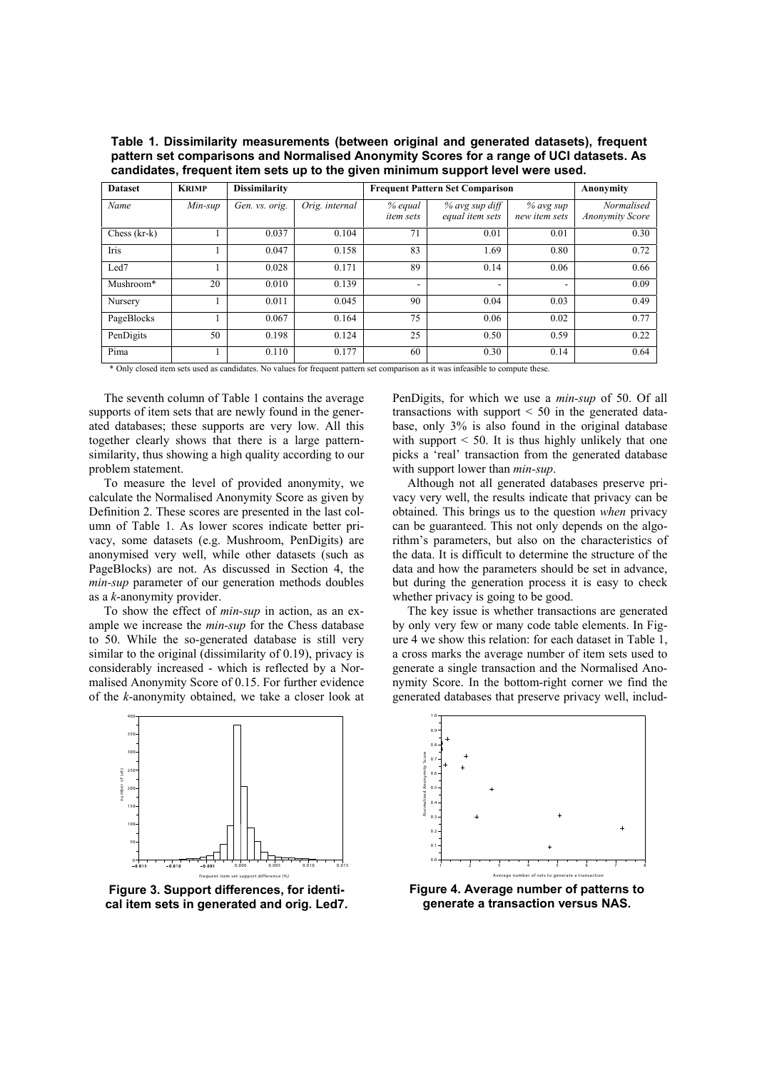**Table 1. Dissimilarity measurements (between original and generated datasets), frequent pattern set comparisons and Normalised Anonymity Scores for a range of UCI datasets. As candidates, frequent item sets up to the given minimum support level were used.**

| <b>Dataset</b> | <b>KRIMP</b> | <b>Dissimilarity</b> |                | <b>Frequent Pattern Set Comparison</b> |                                   |                            | Anonymity                            |
|----------------|--------------|----------------------|----------------|----------------------------------------|-----------------------------------|----------------------------|--------------------------------------|
| Name           | $Min$ -sup   | Gen. vs. orig.       | Orig. internal | % equal<br><i>item sets</i>            | % avg sup diff<br>equal item sets | % avg sup<br>new item sets | Normalised<br><b>Anonymity Score</b> |
| Chess $(kr-k)$ |              | 0.037                | 0.104          | 71                                     | 0.01                              | 0.01                       | 0.30                                 |
| Iris           |              | 0.047                | 0.158          | 83                                     | 1.69                              | 0.80                       | 0.72                                 |
| Led7           |              | 0.028                | 0.171          | 89                                     | 0.14                              | 0.06                       | 0.66                                 |
| Mushroom*      | 20           | 0.010                | 0.139          | ۰                                      | $\overline{\phantom{a}}$          | ۰                          | 0.09                                 |
| Nursery        |              | 0.011                | 0.045          | 90                                     | 0.04                              | 0.03                       | 0.49                                 |
| PageBlocks     |              | 0.067                | 0.164          | 75                                     | 0.06                              | 0.02                       | 0.77                                 |
| PenDigits      | 50           | 0.198                | 0.124          | 25                                     | 0.50                              | 0.59                       | 0.22                                 |
| Pima           |              | 0.110                | 0.177          | 60                                     | 0.30                              | 0.14                       | 0.64                                 |

\* Only closed item sets used as candidates. No values for frequent pattern set comparison as it was infeasible to compute these.

The seventh column of Table 1 contains the average supports of item sets that are newly found in the generated databases; these supports are very low. All this together clearly shows that there is a large patternsimilarity, thus showing a high quality according to our problem statement.

To measure the level of provided anonymity, we calculate the Normalised Anonymity Score as given by Definition 2. These scores are presented in the last column of Table 1. As lower scores indicate better privacy, some datasets (e.g. Mushroom, PenDigits) are anonymised very well, while other datasets (such as PageBlocks) are not. As discussed in Section 4, the *min-sup* parameter of our generation methods doubles as a *k*-anonymity provider.

To show the effect of *min-sup* in action, as an example we increase the *min-sup* for the Chess database to 50. While the so-generated database is still very similar to the original (dissimilarity of 0.19), privacy is considerably increased - which is reflected by a Normalised Anonymity Score of 0.15. For further evidence of the *k*-anonymity obtained, we take a closer look at



**Figure 3. Support differences, for identical item sets in generated and orig. Led7.** 

PenDigits, for which we use a *min-sup* of 50. Of all transactions with support  $\leq 50$  in the generated database, only 3% is also found in the original database with support  $\leq 50$ . It is thus highly unlikely that one picks a 'real' transaction from the generated database with support lower than *min-sup*.

Although not all generated databases preserve privacy very well, the results indicate that privacy can be obtained. This brings us to the question *when* privacy can be guaranteed. This not only depends on the algorithm's parameters, but also on the characteristics of the data. It is difficult to determine the structure of the data and how the parameters should be set in advance, but during the generation process it is easy to check whether privacy is going to be good.

The key issue is whether transactions are generated by only very few or many code table elements. In Figure 4 we show this relation: for each dataset in Table 1, a cross marks the average number of item sets used to generate a single transaction and the Normalised Anonymity Score. In the bottom-right corner we find the generated databases that preserve privacy well, includ-



**Figure 4. Average number of patterns to generate a transaction versus NAS.**